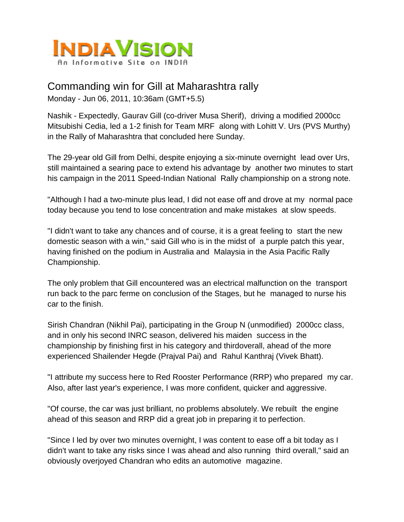

## Commanding win for Gill at Maharashtra rally Monday - Jun 06, 2011, 10:36am (GMT+5.5)

Nashik - Expectedly, Gaurav Gill (co-driver Musa Sherif), driving a modified 2000cc

Mitsubishi Cedia, led a 1-2 finish for Team MRF along with Lohitt V. Urs (PVS Murthy) in the Rally of Maharashtra that concluded here Sunday.

The 29-year old Gill from Delhi, despite enjoying a six-minute overnight lead over Urs, still maintained a searing pace to extend his advantage by another two minutes to start his campaign in the 2011 Speed-Indian National Rally championship on a strong note.

"Although I had a two-minute plus lead, I did not ease off and drove at my normal pace today because you tend to lose concentration and make mistakes at slow speeds.

"I didn't want to take any chances and of course, it is a great feeling to start the new domestic season with a win," said Gill who is in the midst of a purple patch this year, having finished on the podium in Australia and Malaysia in the Asia Pacific Rally Championship.

The only problem that Gill encountered was an electrical malfunction on the transport run back to the parc ferme on conclusion of the Stages, but he managed to nurse his car to the finish.

Sirish Chandran (Nikhil Pai), participating in the Group N (unmodified) 2000cc class, and in only his second INRC season, delivered his maiden success in the championship by finishing first in his category and thirdoverall, ahead of the more experienced Shailender Hegde (Prajval Pai) and Rahul Kanthraj (Vivek Bhatt).

"I attribute my success here to Red Rooster Performance (RRP) who prepared my car. Also, after last year's experience, I was more confident, quicker and aggressive.

"Of course, the car was just brilliant, no problems absolutely. We rebuilt the engine ahead of this season and RRP did a great job in preparing it to perfection.

"Since I led by over two minutes overnight, I was content to ease off a bit today as I didn't want to take any risks since I was ahead and also running third overall," said an obviously overjoyed Chandran who edits an automotive magazine.